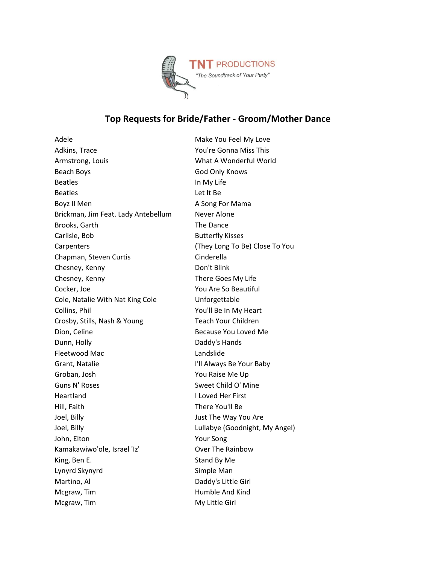

## **Top Requests for Bride/Father - Groom/Mother Dance**

Adele Make You Feel My Love Adkins, Trace This Commander Commander's Commander's Adkins, This Armstrong, Louis **Manual A Wonderful World** World Beach Boys God Only Knows Beatles **In My Life** Beatles **Let It Beatles** Boyz II Men A Song For Mama Brickman, Jim Feat. Lady Antebellum Never Alone Brooks, Garth The Dance Carlisle, Bob Butterfly Kisses Carpenters (They Long To Be) Close To You Chapman, Steven Curtis Cinderella Chesney, Kenny Don't Blink Chesney, Kenny There Goes My Life Cocker, Joe You Are So Beautiful Cole, Natalie With Nat King Cole Unforgettable Collins, Phil You'll Be In My Heart Crosby, Stills, Nash & Young Teach Your Children Dion, Celine **Because You Loved Me** Dunn, Holly **Daddy's Hands** Fleetwood Mac **Landslide** Grant, Natalie **I'll Always Be Your Baby** Groban, Josh You Raise Me Up Guns N' Roses Sweet Child O' Mine Heartland I Loved Her First Hill, Faith There You'll Be Joel, Billy Just The Way You Are Joel, Billy Lullabye (Goodnight, My Angel) John, Elton Your Song Kamakawiwo'ole, Israel 'Iz' Over The Rainbow King, Ben E. Stand By Me Lynyrd Skynyrd Simple Man Martino, Al Daddy's Little Girl Mcgraw, Tim **Humble And Kind** Mcgraw, Tim **Music Communist Communist Communist Communist Communist Communist Communist Communist Communist Communist Communist Communist Communist Communist Communist Communist Communist Communist Communist Communist Com**